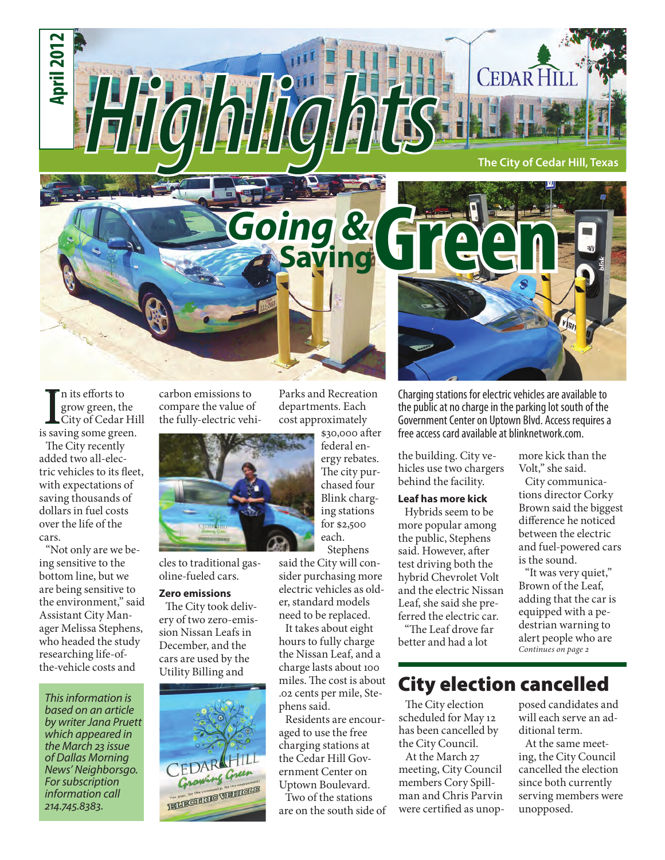

In its efforts to<br>grow green, the<br>City of Cedar Hi<br>is saving some green. n its efforts to grow green, the City of Cedar Hill

The City recently added two all-electric vehicles to its fleet, with expectations of saving thousands of dollars in fuel costs over the life of the cars.

"Not only are we being sensitive to the bottom line, but we are being sensitive to the environment," said Assistant City Manager Melissa Stephens, who headed the study researching life-ofthe-vehicle costs and

*This information is based on an article by writer Jana Pruett which appeared in the March 23 issue of Dallas Morning News' Neighborsgo. For subscription information call 214.745.8383.*

carbon emissions to compare the value of the fully-electric vehi-



cles to traditional gasoline-fueled cars.

#### **Zero emissions**

The City took delivery of two zero-emission Nissan Leafs in December, and the cars are used by the Utility Billing and



Parks and Recreation departments. Each cost approximately

> \$30,000 after federal energy rebates. The city purchased four Blink charging stations for \$2,500 each. Stephens

said the City will consider purchasing more electric vehicles as older, standard models need to be replaced.

It takes about eight hours to fully charge the Nissan Leaf, and a charge lasts about 100 miles. The cost is about .02 cents per mile, Stephens said.

Residents are encouraged to use the free charging stations at the Cedar Hill Government Center on Uptown Boulevard.

Two of the stations are on the south side of Charging stations for electric vehicles are available to the public at no charge in the parking lot south of the Government Center on Uptown Blvd. Access requires a free access card available at blinknetwork.com.

the building. City vehicles use two chargers behind the facility.

#### **Leaf has more kick**

Hybrids seem to be more popular among the public, Stephens said. However, after test driving both the hybrid Chevrolet Volt and the electric Nissan Leaf, she said she preferred the electric car.

"The Leaf drove far better and had a lot

## City election cancelled

The City election scheduled for May 12 has been cancelled by the City Council.

At the March 27 meeting, City Council members Cory Spillman and Chris Parvin were certified as unopposed candidates and will each serve an additional term.

more kick than the Volt," she said. City communications director Corky Brown said the biggest difference he noticed between the electric and fuel-powered cars

is the sound.

*Continues on page 2*

"It was very quiet," Brown of the Leaf, adding that the car is equipped with a pedestrian warning to alert people who are

At the same meeting, the City Council cancelled the election since both currently serving members were unopposed.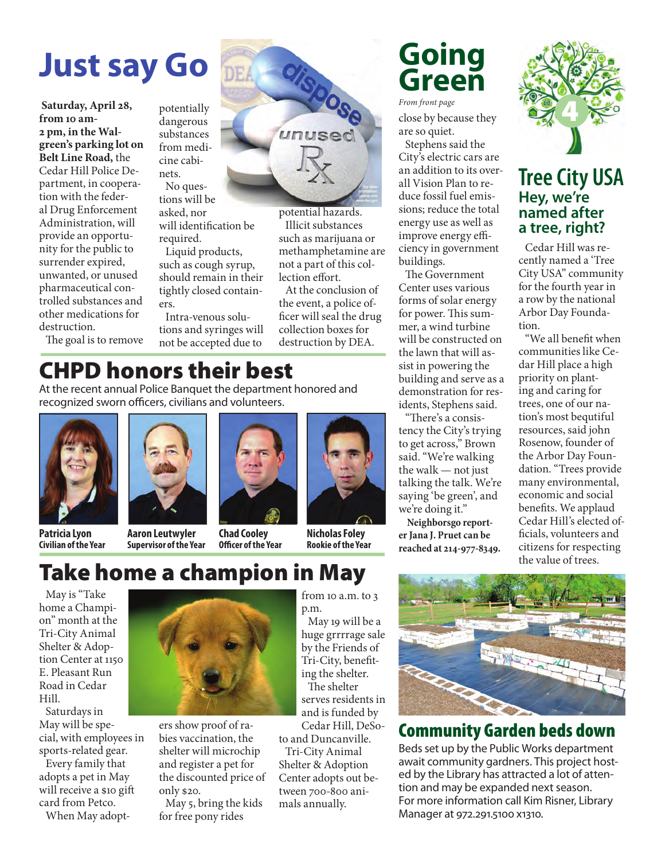# **Just say Go**

**Saturday, April 28, from 10 am-2 pm, in the Walgreen's parking lot on Belt Line Road,** the Cedar Hill Police Department, in cooperation with the federal Drug Enforcement Administration, will provide an opportunity for the public to surrender expired, unwanted, or unused pharmaceutical controlled substances and other medications for destruction.

The goal is to remove

potentially dangerous substances from medicine cabinets.

tions will be asked, nor will identification be required.

Liquid products, such as cough syrup, should remain in their tightly closed containers.

Intra-venous solutions and syringes will not be accepted due to

# CHPD honors their best

At the recent annual Police Banquet the department honored and recognized sworn officers, civilians and volunteers.





**Patricia Lyon Civilian of the Year**

**Aaron Leutwyler Supervisor of the Year Chad Cooley Officer of the Year**



potential hazards. Illicit substances such as marijuana or methamphetamine are not a part of this collection effort.

clispose

unuser

DEA

At the conclusion of the event, a police officer will seal the drug collection boxes for destruction by DEA.

> **Nicholas Foley Rookie of the Year**

# **Going Green**

close by because they are so quiet. Stephens said the City's electric cars are an addition to its overall Vision Plan to reduce fossil fuel emissions; reduce the total energy use as well as improve energy efficiency in government buildings. *From front page*

The Government Center uses various forms of solar energy for power. This summer, a wind turbine will be constructed on the lawn that will assist in powering the building and serve as a demonstration for residents, Stephens said.

"There's a consistency the City's trying to get across," Brown said. "We're walking the walk — not just talking the talk. We're saying 'be green', and we're doing it."

 **Neighborsgo reporter Jana J. Pruet can be reached at 214-977-8349.**



### **Hey, we're named after a tree, right? Tree City USA**

Cedar Hill was recently named a 'Tree City USA" community for the fourth year in a row by the national Arbor Day Foundation.

"We all benefit when communities like Cedar Hill place a high priority on planting and caring for trees, one of our nation's most bequtiful resources, said john Rosenow, founder of the Arbor Day Foundation. "Trees provide many environmental, economic and social benefits. We applaud Cedar Hill's elected officials, volunteers and citizens for respecting the value of trees.

# Take home a champion in May

May is "Take home a Champion" month at the Tri-City Animal Shelter & Adoption Center at 1150 E. Pleasant Run Road in Cedar Hill.

Saturdays in May will be special, with employees in sports-related gear.

Every family that adopts a pet in May will receive a \$10 gift card from Petco.

When May adopt-



ers show proof of rabies vaccination, the shelter will microchip and register a pet for the discounted price of only \$20.

May 5, bring the kids for free pony rides

from 10 a.m. to 3 p.m.

May 19 will be a huge grrrrage sale by the Friends of Tri-City, benefiting the shelter. The shelter serves residents in and is funded by Cedar Hill, DeSo-

to and Duncanville. Tri-City Animal Shelter & Adoption Center adopts out between 700-800 animals annually.



# Community Garden beds down

Beds set up by the Public Works department await community gardners. This project hosted by the Library has attracted a lot of attention and may be expanded next season. For more information call Kim Risner, Library Manager at 972.291.5100 x1310.

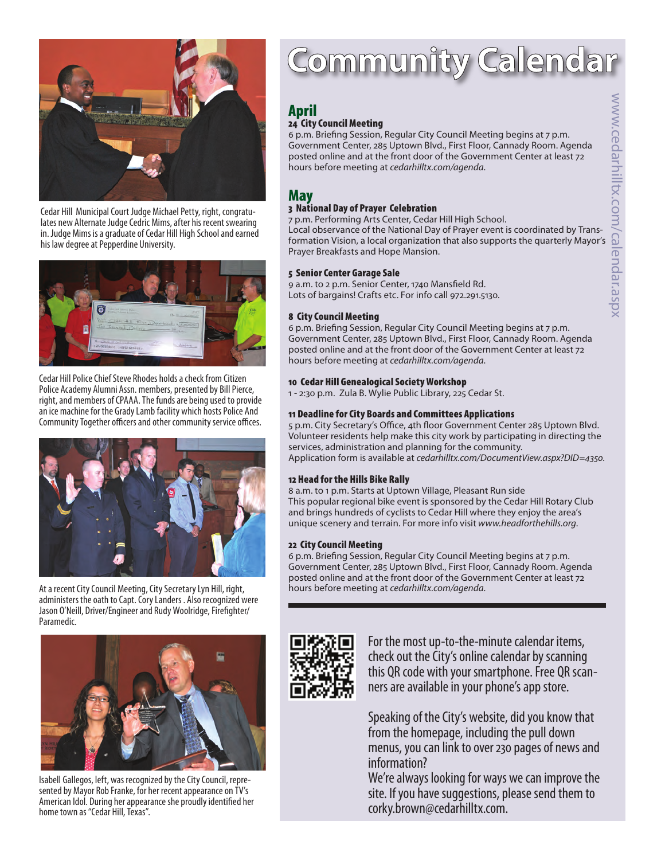



Cedar Hill Municipal Court Judge Michael Petty, right, congratulates new Alternate Judge Cedric Mims, after his recent swearing in. Judge Mims is a graduate of Cedar Hill High School and earned his law degree at Pepperdine University.



Cedar Hill Police Chief Steve Rhodes holds a check from Citizen Police Academy Alumni Assn. members, presented by Bill Pierce, right, and members of CPAAA. The funds are being used to provide an ice machine for the Grady Lamb facility which hosts Police And Community Together officers and other community service offices.



At a recent City Council Meeting, City Secretary Lyn Hill, right, administers the oath to Capt. Cory Landers . Also recognized were Jason O'Neill, Driver/Engineer and Rudy Woolridge, Firefighter/ Paramedic.



Isabell Gallegos, left, was recognized by the City Council, represented by Mayor Rob Franke, for her recent appearance on TV's American Idol. During her appearance she proudly identified her home town as "Cedar Hill, Texas".

# Community Calenda

## April

#### 24 City Council Meeting

6 p.m. Briefing Session, Regular City Council Meeting begins at 7 p.m. Government Center, 285 Uptown Blvd., First Floor, Cannady Room. Agenda posted online and at the front door of the Government Center at least 72 hours before meeting at *cedarhilltx.com/agenda*. **April**<br> **24 City Council Meeting**<br>
6 p.m. Briefing Session, Regular City Council Meeting begins at 7 p.m.<br>
Government Center, 285 Uptown Blvd., First Floor, Cannady Room. Agenda<br>
posted online and at the front door of th

### May

#### 3 National Day of Prayer Celebration

7 p.m. Performing Arts Center, Cedar Hill High School.

Local observance of the National Day of Prayer event is coordinated by Trans-Prayer Breakfasts and Hope Mansion.

#### 5 Senior Center Garage Sale

9 a.m. to 2 p.m. Senior Center, 1740 Mansfield Rd. Lots of bargains! Crafts etc. For info call 972.291.5130.

#### 8 City Council Meeting

6 p.m. Briefing Session, Regular City Council Meeting begins at 7 p.m. Government Center, 285 Uptown Blvd., First Floor, Cannady Room. Agenda posted online and at the front door of the Government Center at least 72 hours before meeting at *cedarhilltx.com/agenda*.

#### 10 Cedar Hill Genealogical Society Workshop

1 - 2:30 p.m. Zula B. Wylie Public Library, 225 Cedar St.

#### 11 Deadline for City Boards and Committees Applications

5 p.m. City Secretary's Office, 4th floor Government Center 285 Uptown Blvd. Volunteer residents help make this city work by participating in directing the services, administration and planning for the community. Application form is available at *cedarhilltx.com/DocumentView.aspx?DID=4350*.

#### 12 Head for the Hills Bike Rally

8 a.m. to 1 p.m. Starts at Uptown Village, Pleasant Run side This popular regional bike event is sponsored by the Cedar Hill Rotary Club and brings hundreds of cyclists to Cedar Hill where they enjoy the area's unique scenery and terrain. For more info visit *www.headforthehills.org*.

#### 22 City Council Meeting

6 p.m. Briefing Session, Regular City Council Meeting begins at 7 p.m. Government Center, 285 Uptown Blvd., First Floor, Cannady Room. Agenda posted online and at the front door of the Government Center at least 72 hours before meeting at *cedarhilltx.com/agenda*.



For the most up-to-the-minute calendar items, check out the City's online calendar by scanning this QR code with your smartphone. Free QR scanners are available in your phone's app store.

Speaking of the City's website, did you know that from the homepage, including the pull down menus, you can link to over 230 pages of news and information?

We're always looking for ways we can improve the site. If you have suggestions, please send them to corky.brown@cedarhilltx.com.